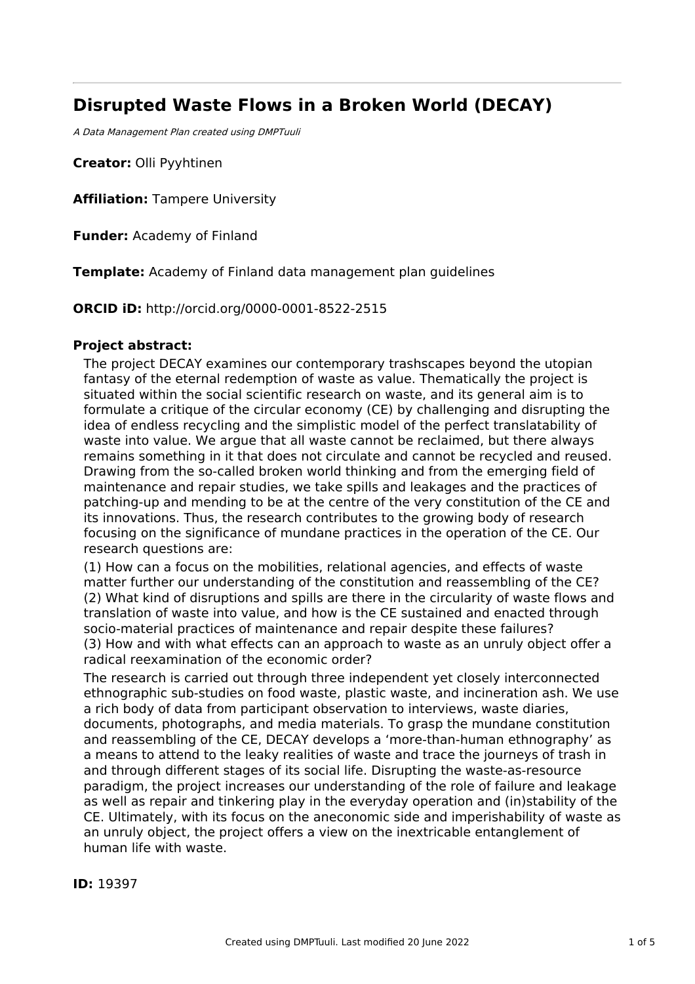# **Disrupted Waste Flows in a Broken World (DECAY)**

A Data Management Plan created using DMPTuuli

**Creator:** Olli Pyyhtinen

**Affiliation:** Tampere University

**Funder:** Academy of Finland

**Template:** Academy of Finland data management plan guidelines

**ORCID iD:** http://orcid.org/0000-0001-8522-2515

# **Project abstract:**

The project DECAY examines our contemporary trashscapes beyond the utopian fantasy of the eternal redemption of waste as value. Thematically the project is situated within the social scientific research on waste, and its general aim is to formulate a critique of the circular economy (CE) by challenging and disrupting the idea of endless recycling and the simplistic model of the perfect translatability of waste into value. We argue that all waste cannot be reclaimed, but there always remains something in it that does not circulate and cannot be recycled and reused. Drawing from the so-called broken world thinking and from the emerging field of maintenance and repair studies, we take spills and leakages and the practices of patching-up and mending to be at the centre of the very constitution of the CE and its innovations. Thus, the research contributes to the growing body of research focusing on the significance of mundane practices in the operation of the CE. Our research questions are:

(1) How can a focus on the mobilities, relational agencies, and effects of waste matter further our understanding of the constitution and reassembling of the CE? (2) What kind of disruptions and spills are there in the circularity of waste flows and translation of waste into value, and how is the CE sustained and enacted through socio-material practices of maintenance and repair despite these failures? (3) How and with what effects can an approach to waste as an unruly object offer a radical reexamination of the economic order?

The research is carried out through three independent yet closely interconnected ethnographic sub-studies on food waste, plastic waste, and incineration ash. We use a rich body of data from participant observation to interviews, waste diaries, documents, photographs, and media materials. To grasp the mundane constitution and reassembling of the CE, DECAY develops a 'more-than-human ethnography' as a means to attend to the leaky realities of waste and trace the journeys of trash in and through different stages of its social life. Disrupting the waste-as-resource paradigm, the project increases our understanding of the role of failure and leakage as well as repair and tinkering play in the everyday operation and (in)stability of the CE. Ultimately, with its focus on the aneconomic side and imperishability of waste as an unruly object, the project offers a view on the inextricable entanglement of human life with waste.

**ID:** 19397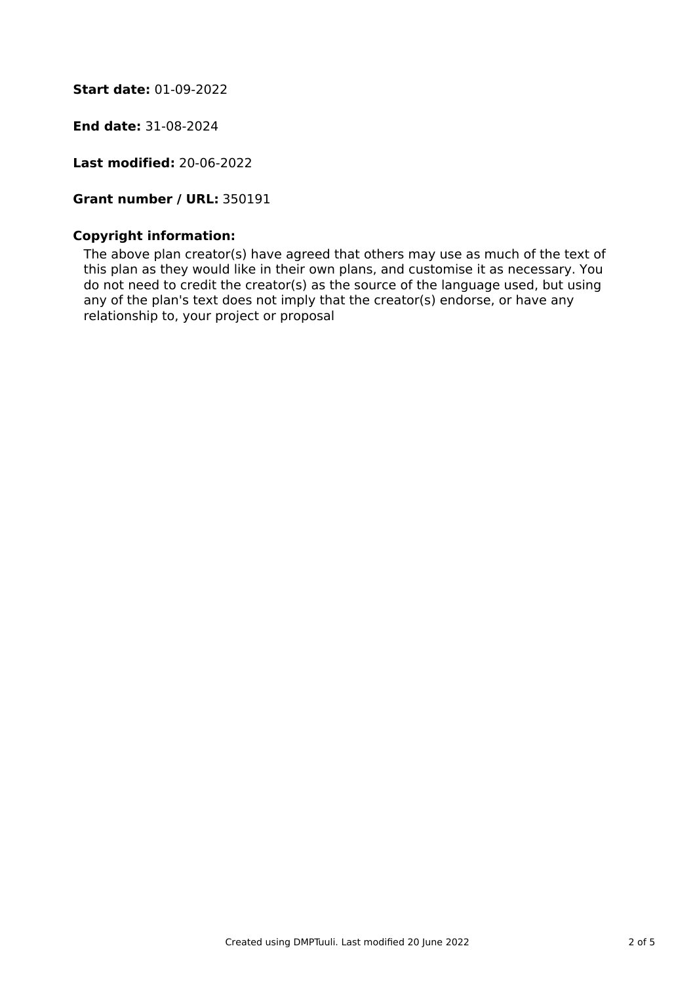**Start date:** 01-09-2022

**End date:** 31-08-2024

**Last modified:** 20-06-2022

# **Grant number / URL:** 350191

### **Copyright information:**

The above plan creator(s) have agreed that others may use as much of the text of this plan as they would like in their own plans, and customise it as necessary. You do not need to credit the creator(s) as the source of the language used, but using any of the plan's text does not imply that the creator(s) endorse, or have any relationship to, your project or proposal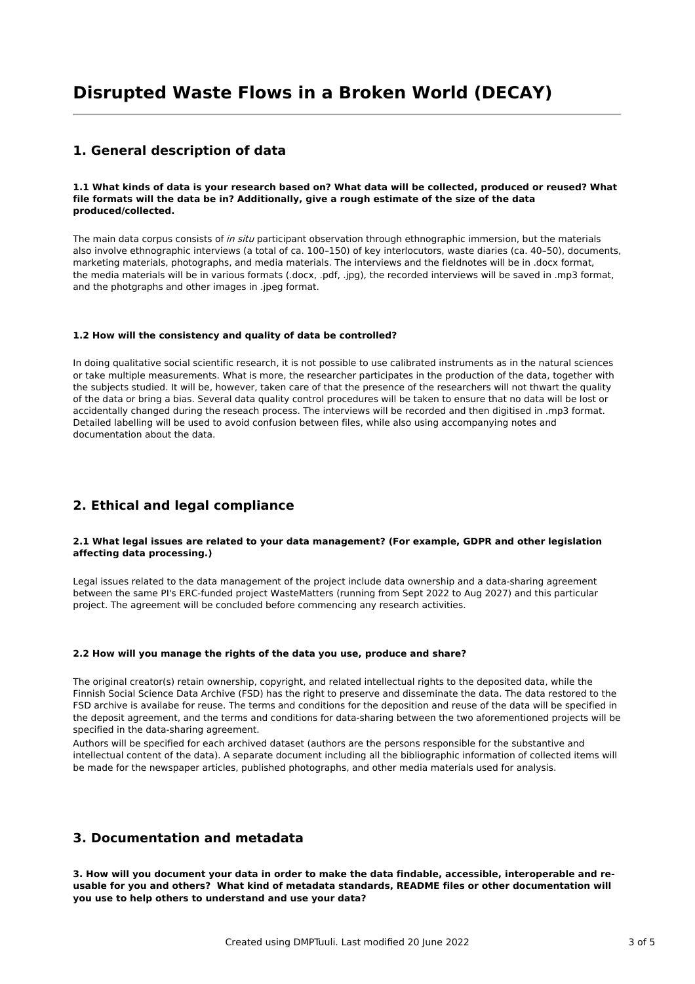## **1. General description of data**

#### 1.1 What kinds of data is your research based on? What data will be collected, produced or reused? What **file formats will the data be in? Additionally, give a rough estimate of the size of the data produced/collected.**

The main data corpus consists of in situ participant observation through ethnographic immersion, but the materials also involve ethnographic interviews (a total of ca. 100–150) of key interlocutors, waste diaries (ca. 40–50), documents, marketing materials, photographs, and media materials. The interviews and the fieldnotes will be in .docx format, the media materials will be in various formats (.docx, .pdf, .jpg), the recorded interviews will be saved in .mp3 format, and the photgraphs and other images in .jpeg format.

#### **1.2 How will the consistency and quality of data be controlled?**

In doing qualitative social scientific research, it is not possible to use calibrated instruments as in the natural sciences or take multiple measurements. What is more, the researcher participates in the production of the data, together with the subjects studied. It will be, however, taken care of that the presence of the researchers will not thwart the quality of the data or bring a bias. Several data quality control procedures will be taken to ensure that no data will be lost or accidentally changed during the reseach process. The interviews will be recorded and then digitised in .mp3 format. Detailed labelling will be used to avoid confusion between files, while also using accompanying notes and documentation about the data.

### **2. Ethical and legal compliance**

#### **2.1 What legal issues are related to your data management? (For example, GDPR and other legislation affecting data processing.)**

Legal issues related to the data management of the project include data ownership and a data-sharing agreement between the same PI's ERC-funded project WasteMatters (running from Sept 2022 to Aug 2027) and this particular project. The agreement will be concluded before commencing any research activities.

#### **2.2 How will you manage the rights of the data you use, produce and share?**

The original creator(s) retain ownership, copyright, and related intellectual rights to the deposited data, while the Finnish Social Science Data Archive (FSD) has the right to preserve and disseminate the data. The data restored to the FSD archive is availabe for reuse. The terms and conditions for the deposition and reuse of the data will be specified in the deposit agreement, and the terms and conditions for data-sharing between the two aforementioned projects will be specified in the data-sharing agreement.

Authors will be specified for each archived dataset (authors are the persons responsible for the substantive and intellectual content of the data). A separate document including all the bibliographic information of collected items will be made for the newspaper articles, published photographs, and other media materials used for analysis.

### **3. Documentation and metadata**

3. How will you document your data in order to make the data findable, accessible, interoperable and re**usable for you and others? What kind of metadata standards, README files or other documentation will you use to help others to understand and use your data?**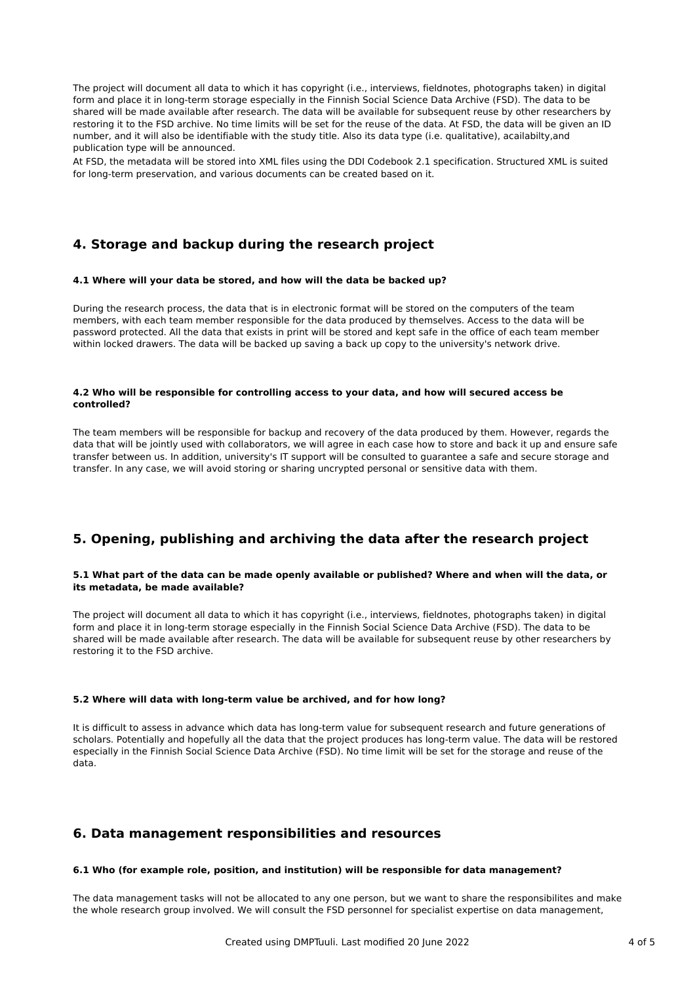The project will document all data to which it has copyright (i.e., interviews, fieldnotes, photographs taken) in digital form and place it in long-term storage especially in the Finnish Social Science Data Archive (FSD). The data to be shared will be made available after research. The data will be available for subsequent reuse by other researchers by restoring it to the FSD archive. No time limits will be set for the reuse of the data. At FSD, the data will be given an ID number, and it will also be identifiable with the study title. Also its data type (i.e. qualitative), acailabilty,and publication type will be announced.

At FSD, the metadata will be stored into XML files using the DDI Codebook 2.1 specification. Structured XML is suited for long-term preservation, and various documents can be created based on it.

# **4. Storage and backup during the research project**

#### **4.1 Where will your data be stored, and how will the data be backed up?**

During the research process, the data that is in electronic format will be stored on the computers of the team members, with each team member responsible for the data produced by themselves. Access to the data will be password protected. All the data that exists in print will be stored and kept safe in the office of each team member within locked drawers. The data will be backed up saving a back up copy to the university's network drive.

#### **4.2 Who will be responsible for controlling access to your data, and how will secured access be controlled?**

The team members will be responsible for backup and recovery of the data produced by them. However, regards the data that will be jointly used with collaborators, we will agree in each case how to store and back it up and ensure safe transfer between us. In addition, university's IT support will be consulted to guarantee a safe and secure storage and transfer. In any case, we will avoid storing or sharing uncrypted personal or sensitive data with them.

### **5. Opening, publishing and archiving the data after the research project**

#### 5.1 What part of the data can be made openly available or published? Where and when will the data, or **its metadata, be made available?**

The project will document all data to which it has copyright (i.e., interviews, fieldnotes, photographs taken) in digital form and place it in long-term storage especially in the Finnish Social Science Data Archive (FSD). The data to be shared will be made available after research. The data will be available for subsequent reuse by other researchers by restoring it to the FSD archive.

#### **5.2 Where will data with long-term value be archived, and for how long?**

It is difficult to assess in advance which data has long-term value for subsequent research and future generations of scholars. Potentially and hopefully all the data that the project produces has long-term value. The data will be restored especially in the Finnish Social Science Data Archive (FSD). No time limit will be set for the storage and reuse of the data.

### **6. Data management responsibilities and resources**

### **6.1 Who (for example role, position, and institution) will be responsible for data management?**

The data management tasks will not be allocated to any one person, but we want to share the responsibilites and make the whole research group involved. We will consult the FSD personnel for specialist expertise on data management,